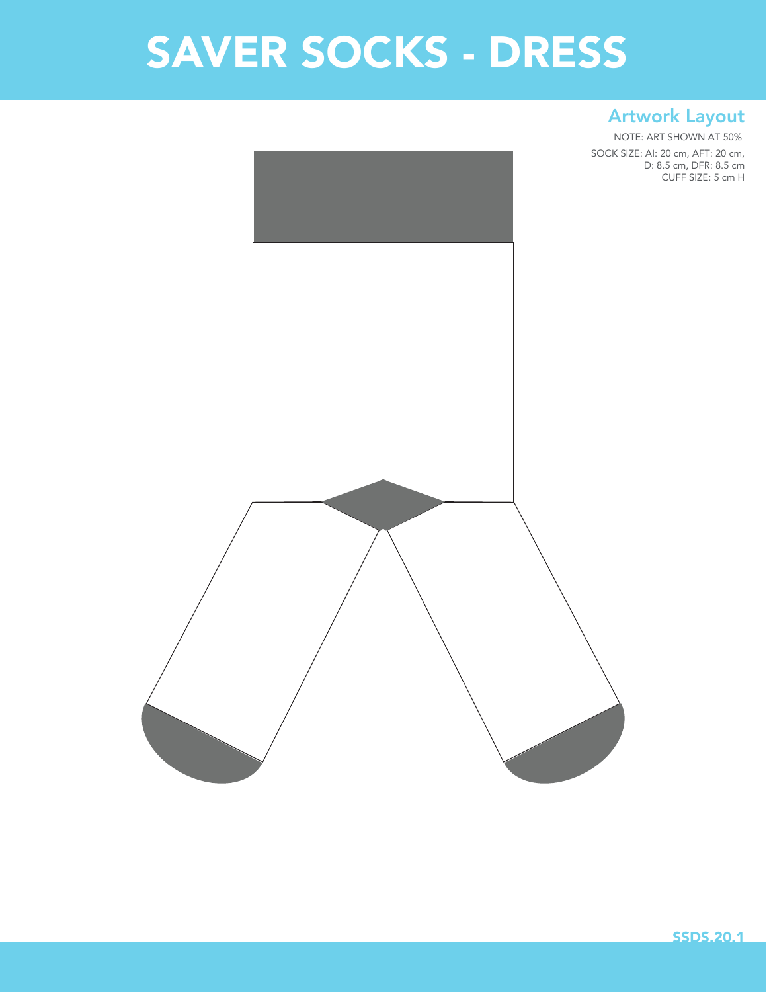#### Artwork Layout

NOTE: ART SHOWN AT 50%

SOCK SIZE: AI: 20 cm, AFT: 20 cm, D: 8.5 cm, DFR: 8.5 cm CUFF SIZE: 5 cm H

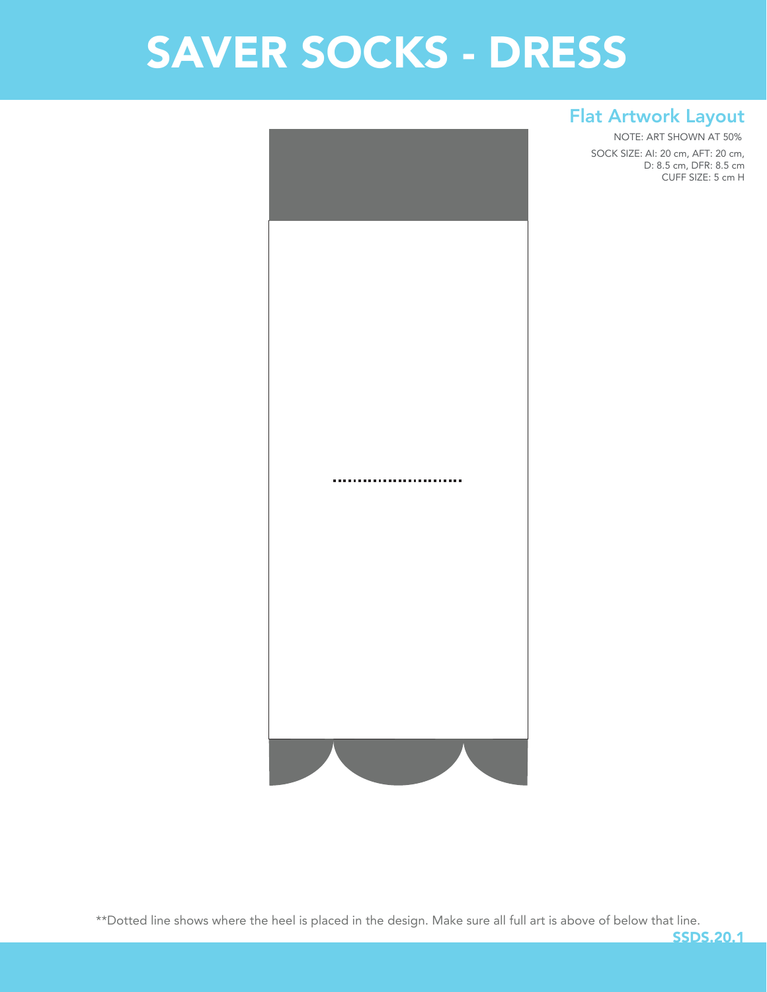#### Flat Artwork Layout

NOTE: ART SHOWN AT 50% SOCK SIZE: AI: 20 cm, AFT: 20 cm, D: 8.5 cm, DFR: 8.5 cm CUFF SIZE: 5 cm H



\*\*Dotted line shows where the heel is placed in the design. Make sure all full art is above of below that line.

SSDS.20.1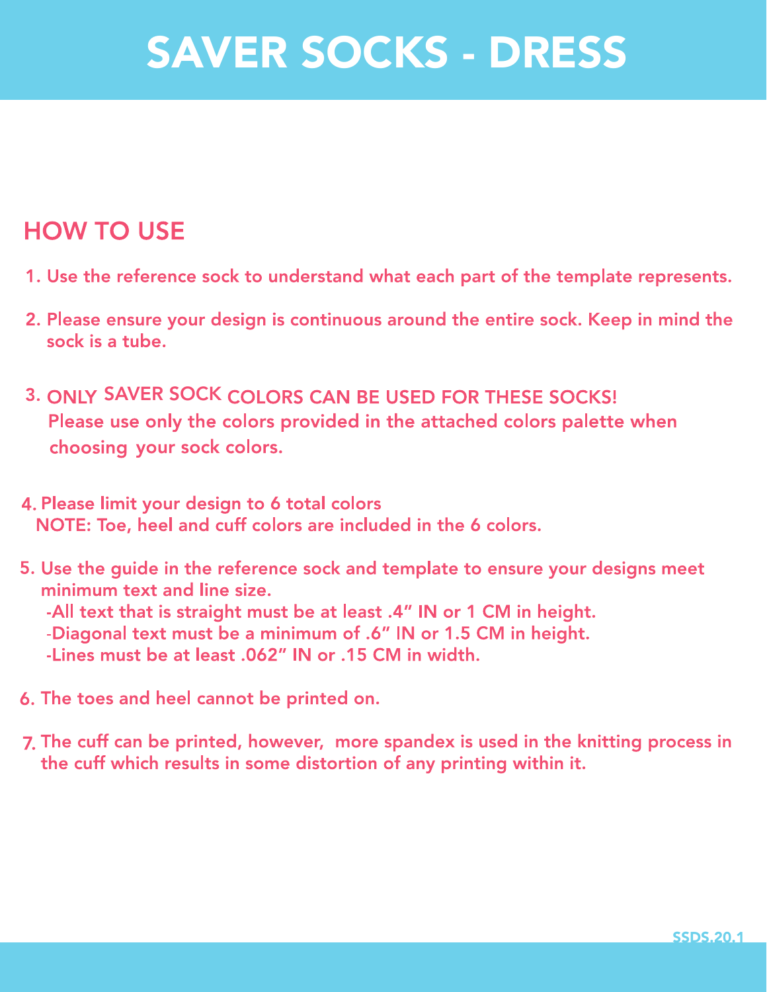#### **HOW TO USE**

- 1. Use the reference sock to understand what each part of the template represents.
- 2. Please ensure your design is continuous around the entire sock. Keep in mind the sock is a tube.
- 3. ONLY SAVER SOCK COLORS CAN BE USED FOR THESE SOCKS! Please use only the colors provided in the attached colors palette when choosing your sock colors.
- 4. Please limit your design to 6 total colors NOTE: Toe, heel and cuff colors are included in the 6 colors.
- 5. Use the guide in the reference sock and template to ensure your designs meet minimum text and line size. -All text that is straight must be at least .4" IN or 1 CM in height. -Diagonal text must be a minimum of .6" IN or 1.5 CM in height. -Lines must be at least .062" IN or .15 CM in width.
- 6. The toes and heel cannot be printed on.
- 7. The cuff can be printed, however, more spandex is used in the knitting process in the cuff which results in some distortion of any printing within it.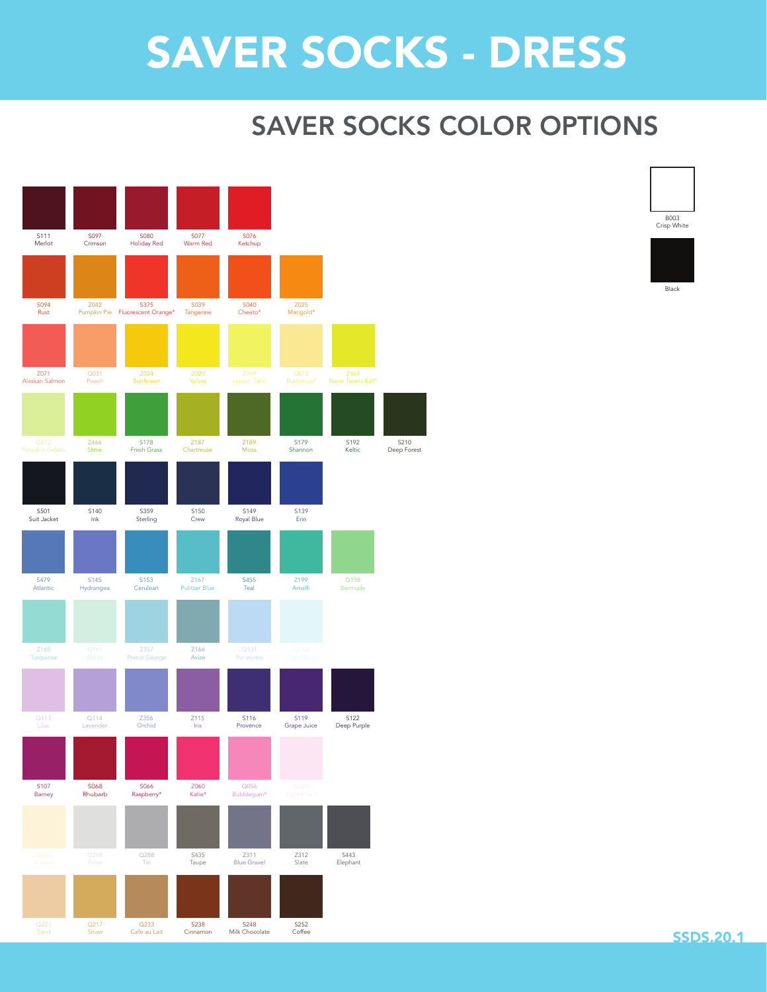#### SAVER SOCKS COLOR OPTIONS



B003 Crisp White

Black

SSDS.20.1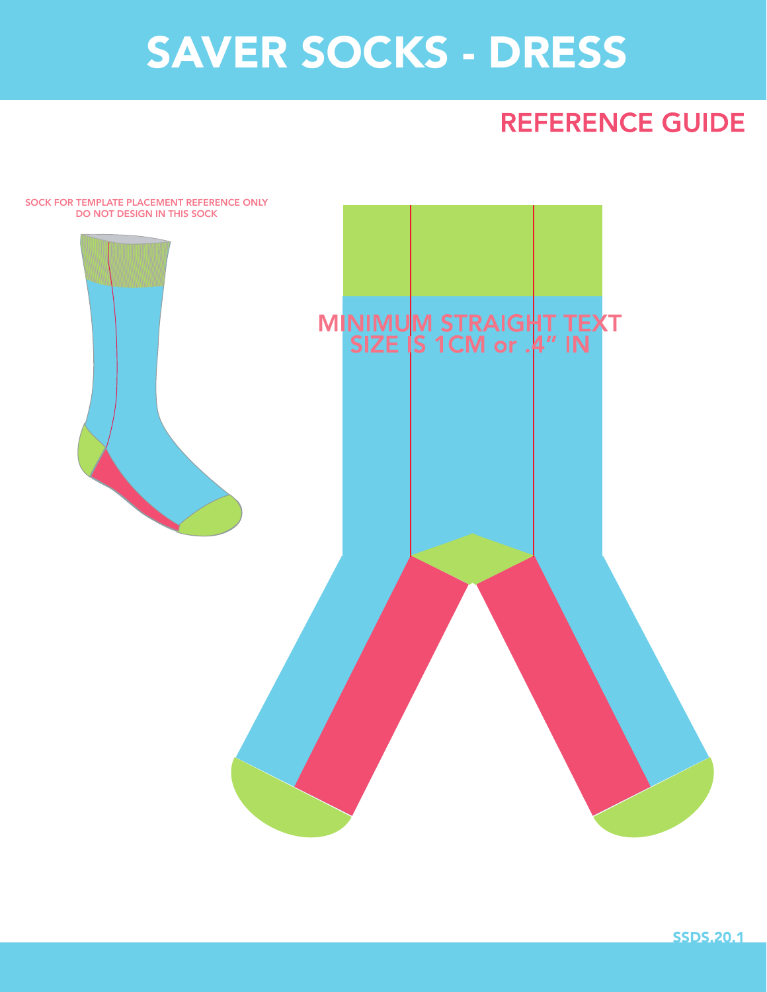#### **REFERENCE GUIDE**

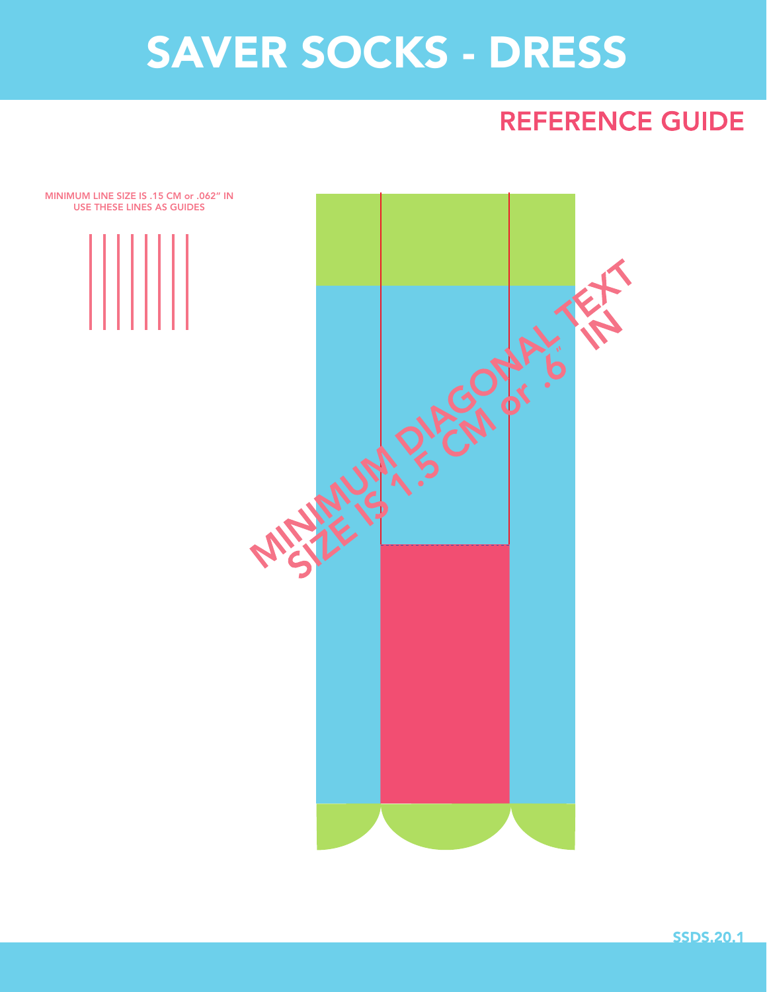#### **REFERENCE GUIDE**



SSDS.20.1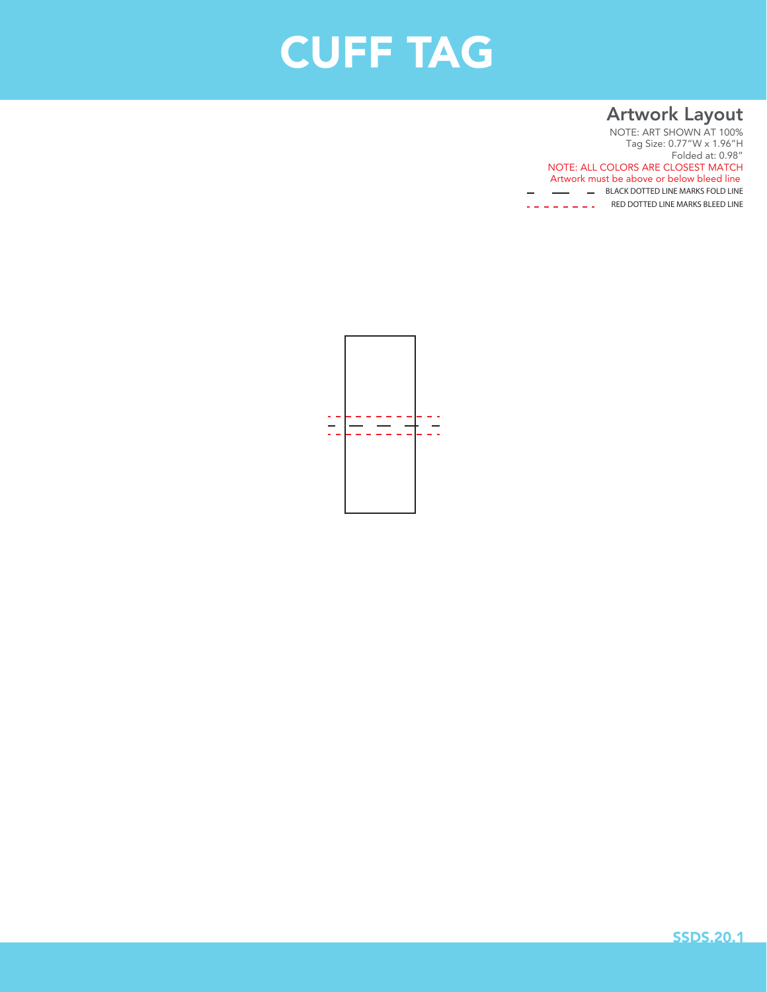# CUFF TAG

#### Artwork Layout

NOTE: ART SHOWN AT 100% Tag Size: 0.77"W x 1.96"H Folded at: 0.98" NOTE: ALL COLORS ARE CLOSEST MATCH Artwork must be above or below bleed line **BLACK DOTTED LINE MARKS FOLD LINE** - - - - - - - RED DOTTED LINE MARKS BLEED LINE



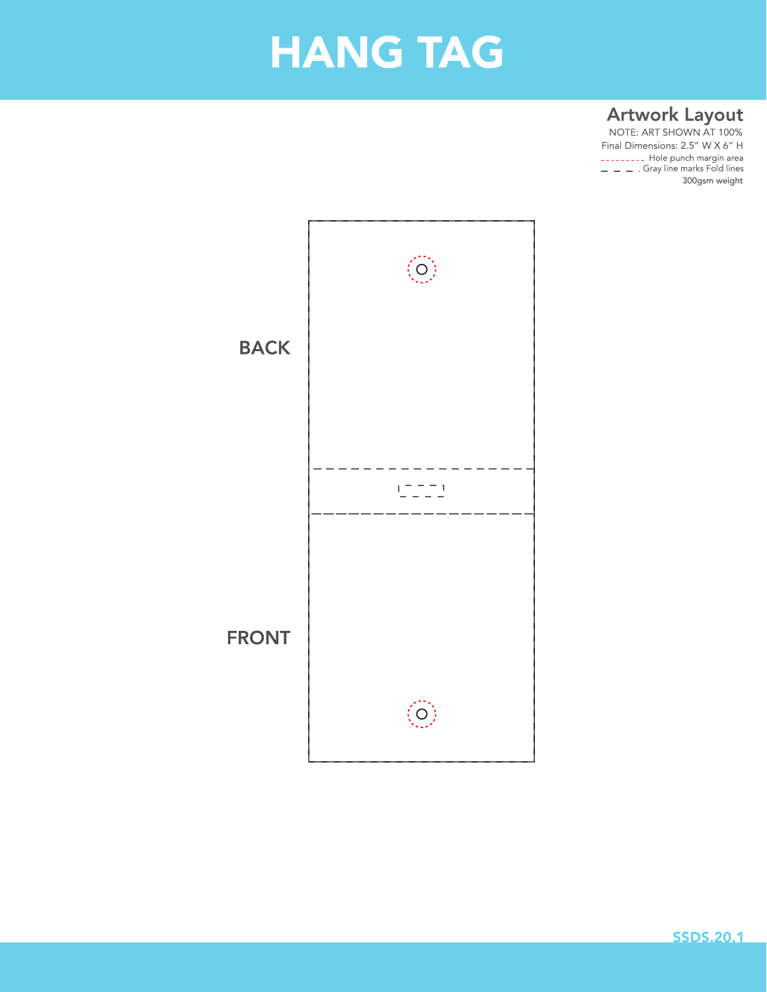# HANG TAG

#### **Artwork Layout**

Final Dimensions: 2.5" W X 6" H --------- Hole punch margin area  $-$  Gray line marks Fold lines 300gsm weight

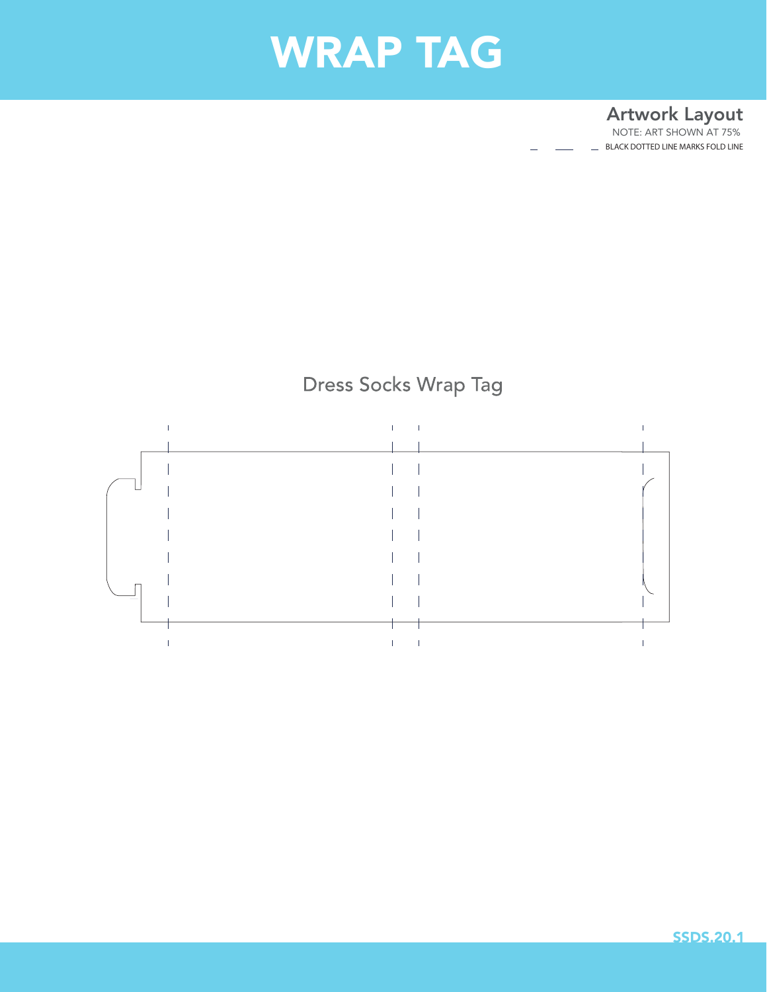### WRAP TAG

#### NOTE: ART SHOWN AT 75% Artwork Layout BLACK DOTTED LINE MARKS FOLD LINE

Dress Socks Wrap Tag

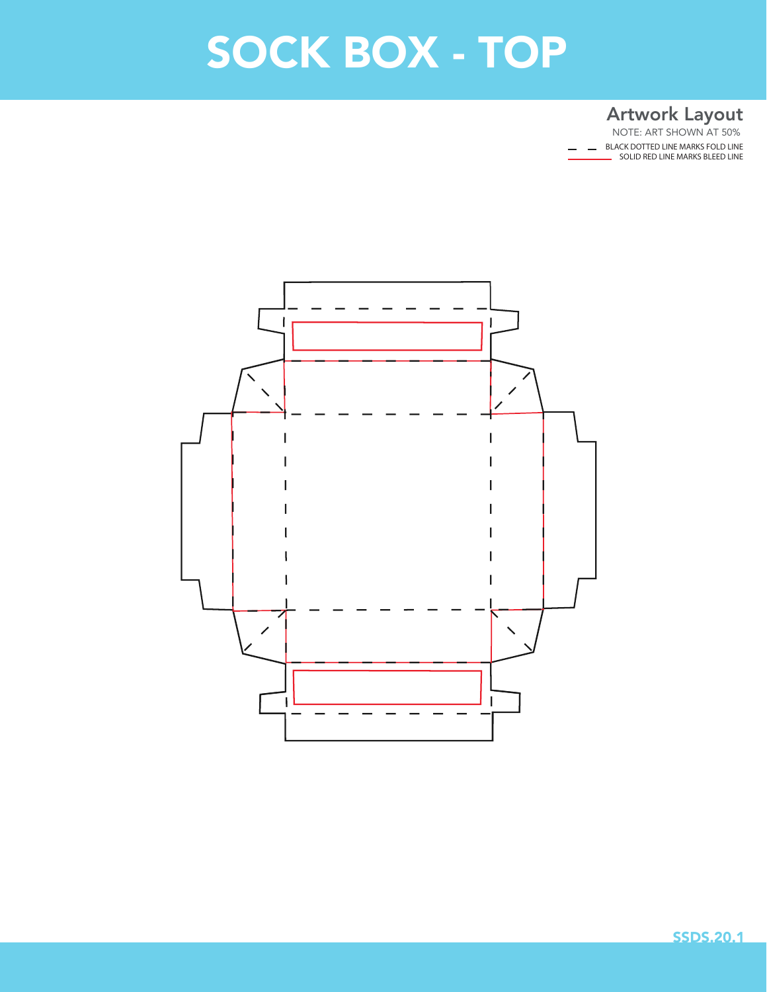# SOCK BOX - TOP

#### Artwork Layout

NOTE: ART SHOWN AT 50% BLACK DOTTED LINE MARKS FOLD LINE SOLID RED LINE MARKS BLEED LINE

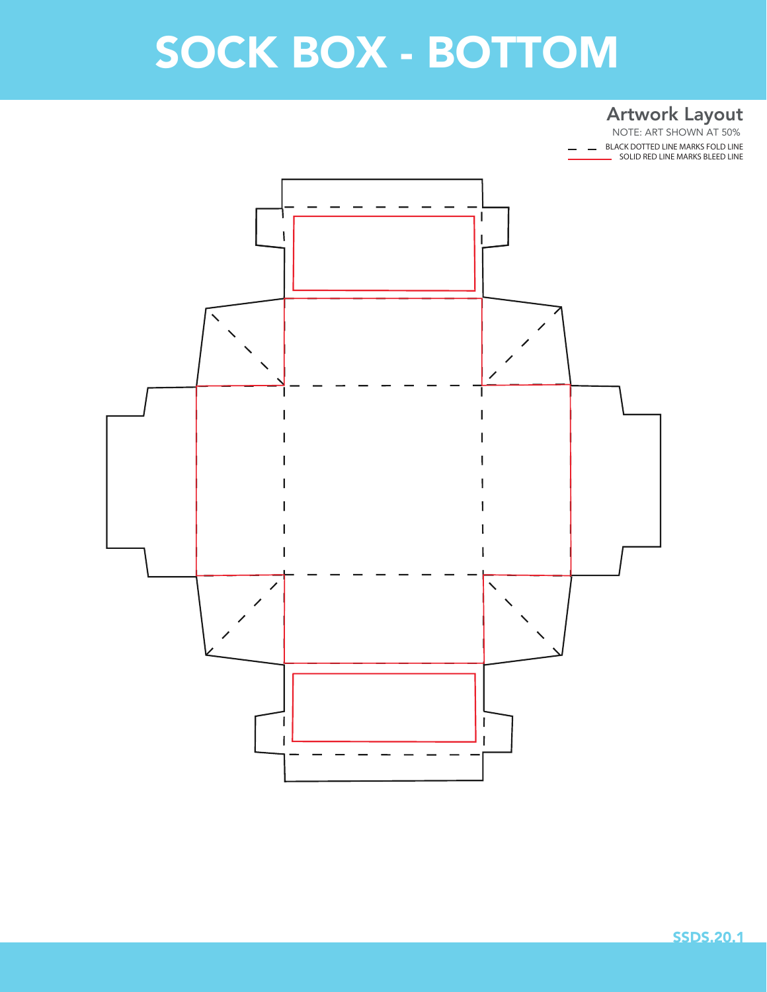# SOCK BOX - BOTTOM

#### Artwork Layout

NOTE: ART SHOWN AT 50% BLACK DOTTED LINE MARKS FOLD LINE SOLID RED LINE MARKS BLEED LINE

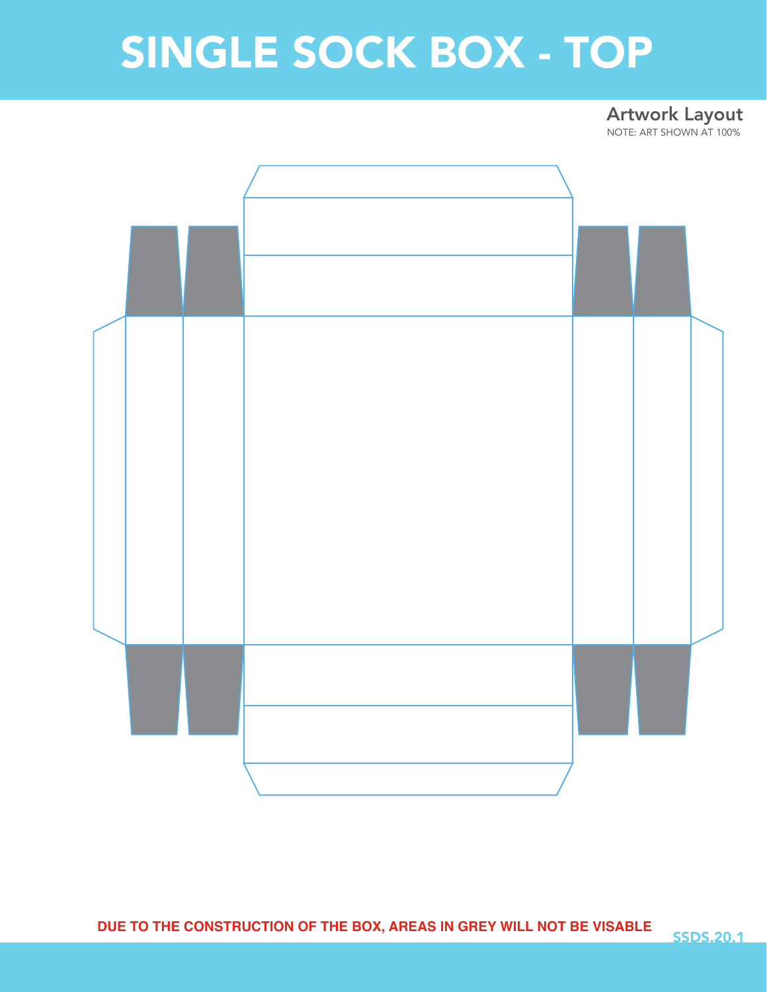## SINGLE SOCK BOX - TOP

#### Artwork Layout

NOTE: ART SHOWN AT 100%

**DUE TO THE CONSTRUCTION OF THE BOX, AREAS IN GREY WILL NOT BE VISABLE** SSDS.20.1